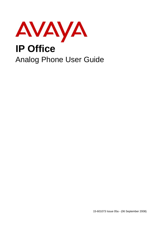

15-601073 Issue 05a - (06 September 2008)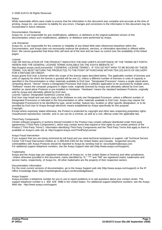#### © 2008 AVAYA All Rights Reserved.

#### Notice

While reasonable efforts were made to ensure that the information in this document was complete and accurate at the time of printing, Avaya Inc. can assume no liability for any errors. Changes and corrections to the information in this document may be incorporated in future releases.

#### Documentation Disclaimer

Avaya Inc. is not responsible for any modifications, additions, or deletions to the original published version of this documentation unless such modifications, additions, or deletions were performed by Avaya.

#### Link Disclaimer

Avaya Inc. is not responsible for the contents or reliability of any linked Web sites referenced elsewhere within this Documentation, and Avaya does not necessarily endorse the products, services, or information described or offered within them. We cannot guarantee that these links will work all of the time and we have no control over the availability of the linked pages.

#### License

USE OR INSTALLATION OF THE PRODUCT INDICATES THE END USER'S ACCEPTANCE OF THE TERMS SET FORTH HEREIN AND THE GENERAL LICENSE TERMS AVAILABLE ON THE AVAYA WEBSITE AT http://support.avaya.com/LicenseInfo/ ("GENERAL LICENSE TERMS"). IF YOU DO NOT WISH TO BE BOUND BY THESE TERMS, YOU MUST RETURN THE PRODUCT(S) TO THE POINT OF PURCHASE WITHIN TEN (10) DAYS OF DELIVERY FOR A REFUND OR CREDIT.

Avaya grants End User a license within the scope of the license types described below. The applicable number of licenses and units of capacity for which the license is granted will be one (1), unless a different number of licenses or units of capacity is specified in the Documentation or other materials available to End User. "Designated Processor" means a single stand-alone computing device. "Server" means a Designated Processor that hosts a software application to be accessed by multiple users. "Software" means the computer programs in object code, originally licensed by Avaya and ultimately utilized by End User, whether as stand-alone Products or pre-installed on Hardware. "Hardware" means the standard hardware Products, originally sold by Avaya and ultimately utilized by End User.

License Type(s): Designated System(s) License (DS).

End User may install and use each copy of the Software on only one Designated Processor, unless a different number of Designated Processors is indicated in the Documentation or other materials available to End User. Avaya may require the Designated Processor(s) to be identified by type, serial number, feature key, location or other specific designation, or to be provided by End User to Avaya through electronic means established by Avaya specifically for this purpose. Copyright

Except where expressly stated otherwise, the Product is protected by copyright and other laws respecting proprietary rights. Unauthorized reproduction, transfer, and or use can be a criminal, as well as a civil, offense under the applicable law.

#### Third-Party Components

Certain software programs or portions thereof included in the Product may contain software distributed under third party agreements ("Third Party Components"), which may contain terms that expand or limit rights to use certain portions of the Product ("Third Party Terms"). Information identifying Third Party Components and the Third Party Terms that apply to them is available on Avaya's web site at: http://support.avaya.com/ThirdPartyLicense/

#### Avaya Fraud Intervention

If you suspect that you are being victimized by toll fraud and you need technical assistance or support, call Technical Service Center Toll Fraud Intervention Hotline at +1-800-643-2353 for the United States and Canada. Suspected security vulnerabilities with Avaya Products should be reported to Avaya by sending mail to: securityalerts@avaya.com. For additional support telephone numbers, see the Avaya Support web site (http://www.avaya.com/support).

#### **Trademarks**

Avaya and the Avaya logo are registered trademarks of Avaya Inc. in the United States of America and other jurisdictions. Unless otherwise provided in this document, marks identified by "®," "™" and "SM" are registered marks, trademarks and service marks, respectively, of Avaya Inc. All other trademarks are the property of their respective owners.

#### Documentation information

For the most current versions of documentation, go to the Avaya Support web site (http://www.avaya.com/support) or the IP Office Knowledge Base (http://marketingtools.avaya.com/knowledgebase/).

#### Avaya Support

Avaya provides a telephone number for you to use to report problems or to ask questions about your contact center. The support telephone number is 1 800 628 2888 in the United States. For additional support telephone numbers, see the Avaya Web site: http://www.avaya.com/support.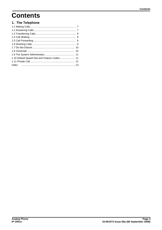## **Contents**

## 1. The Telephone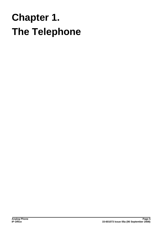# **The Telephone Chapter 1.**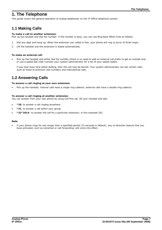## **1. The Telephone**

This guide covers the general operation of analog telephones on the IP Office telephone system.

## **1.1 Making Calls**

**To make a call to another extension**: Pick up the handset and dial the number. If the number is busy, you can use *Ring Back When Free* as follows:

- 1. Dial any digit and hang up. When the extension you called is free, your phone will ring (a burst of three rings).
- 2. Lift the handset and the extension is dialed automatically.

**To make an external call**:

Pick up the handset and either dial the number (there is no need to add an external call prefix to get an outside line) or use a *speed dial* code (contact your system administrator for a list of your speed codes).

If you hear busy tone whilst dialling, then the call may be barred. Your system administrator can bar certain calls, such as those to premium rate numbers and international calls.

## **1.2 Answering Calls**

**To answer a call ringing at your own extension**:

Pick up the handset; internal calls have a single ring cadence, external calls have a double ring cadence.

**To answer a call ringing at another extension:** You can answer from your own phone by using *Call Pick-Up*, lift your handset and dial:

- · **\*30**, to answer a call ringing anywhere.
- · **\*31**, to answer a call within your group.
- · **\*32\*201#**, to answer the call for a particular extension, in this example 201.

#### **Note**

If your phone rings for any longer than a specified period (15 seconds in default), any re-direction feature that you have activated, such as voicemail or call forwarding, will come into effect.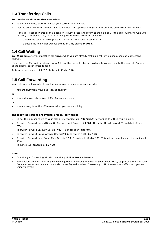## **1.3 Transferring Calls**

**To transfer a call to another extension:**

- 1. To get a dial tone, press **R** and put your current caller on hold.
- 2. Dial the other extension number; you can either hang up when it rings or wait until the other extension answers.

If the call is not answered or the extension is busy, press **R** to return to the held call. If the caller wishes to wait until the busy extension is free, the call can be *queued* to that extension as follows: If the call is not answered or the extension is busy, press R to return to the busy extension is free, the call can be *queued* to that extension as folle.<br>To place the caller on hold, press R. To obtain a dial tone, press

- · To place the caller on hold, press **R**. To obtain a dial tone, press **R** again.
- 

## **1.4 Call Waiting**

**Call Waiting** alerts you if another call arrives while you are already making a call, by making a beep at a six second interval.

If you hear the Call Waiting signal, press **R** to put the present caller on hold and to connect you to the new call. To return to the original caller, press **R** again.

To turn call waiting on, dial **\*15**. To turn it off, dial **\*16**.

## **1.5 Call Forwarding**

Your calls can be forwarded to another extension or an external number when:

- You are away from your desk (on no answer).
- **or**
- Your extension is busy (on all Call Appearance keys).
- **or**
- You are away from the office (e.g. when you are on holiday).

**The following options are available for call forwarding:**

- · To set the number to which your calls are forwarded, dial **\*07\*201#** (forwarding to 201 in this example).
- · To switch Forward Unconditional On (i.e. not Hunt Group), dial **\*01**. The letter **D** is displayed. To switch it off, dial **\*02**.
- · To switch Forward On Busy On, dial **\*03**. To switch it off, dial **\*04**.
- · To switch Forward On No Answer On, dial **\*05**. To switch it off, dial **\*06**.
- · To switch Forward Hunt Group Calls On, dial **\*50**. To switch it off, dial **\*51**. This setting is for Forward Unconditional only.
- · To Cancel All Forwarding, dial **\*00**.

#### **Note**

- · Cancelling all forwarding will also cancel any **Follow Me** you have set.
- · Your system administrator may have configured a forwarding number on your behalf. If so, by pressing the star code from your extension, you can over-ride the configured number. *Forwarding on No Answer* is not effective if you are using voicemail.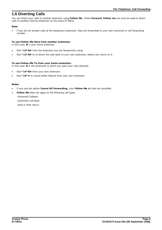## **1.6 Diverting Calls**

You can divert your calls to another extension using **Follow Me**. Unlike **Forward**, **Follow me** can only be used to divert calls to another internal extension on the same IP Office.

## **Note**

· If you do not answer calls at the temporary extension, they are forwarded to your own voicemail or call forwarding number.

**To use Follow-Me-Here from another extension:** In this case, **N** is your home extension

- · Dial **\*12\****N***#** from the extension you are temporarily using.
- Dial \*13\* $N#$  to re-direct the calls back to your own extension, before you return to it.

**To use Follow-Me-To from your home extension:** In this case, **N** is the extension to which you want your calls diverted.

- Dial \*14\* $\mathcal{N}$  from your own extension.
- Dial \*14\*# to cancel either feature from your own extension.

## **Notes**

- · If you use the option **Cancel All Forwarding**, your **Follow Me** will also be cancelled.
- Follow Me does not apply to the following call types:
	- -Voicemail Callback
	- -Automatic Call Back
	- -Hold or Park return.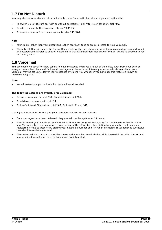## **1.7 Do Not Disturb**

You may choose to receive no calls at all or only those from particular callers on your exceptions list:

- · To switch Do Not Disturb on (with or without exceptions), dial **\*08**. To switch it off, dial **\*09**.
- To add a number to the exception list, dial \*10\*N#
- · To delete a number from the exception list, dial **\*11\*N#**.

#### **Note**

- · Your callers, other than your exceptions, either hear busy tone or are re-directed to your voicemail.
- The only call that will ignore the Do Not Disturb rule will be one where you were the original caller, then performed an unsupervised transfer to another extension. If that extension does not answer, the call will be re-directed to you as the originator.

## **1.8 Voicemail**

You can enable voicemail to allow callers to leave messages when you are out of the office, away from your desk or engaged on another phone call. Voicemail messages can be retrieved internally or externally via any phone. Your voicemail may be set up to deliver your messages by calling you whenever you hang up: this feature is known as *Voicemail Ringback*.

### **Note**

· Not all systems support voicemail or have voicemail installed.

**The following options are available for voicemail:**

- · To switch voicemail on, dial **\*18**. To switch it off, dial **\*19**.
- · To retrieve your voicemail, dial **\*17**.
- · To turn Voicemail Ringback on, dial **\*48**. To turn it off, dial **\*49**.

Dialling a number whilst listening to your messages invokes further facilities:

- Once messages have been delivered, they are held on the system for 24 hours.
- · You can collect your voicemail from another extension by using the PIN your system administrator has set up for you. You can collect your messages if you are out of the office, by either dialling from a number that has been registered for the purpose or by dialling your extension number and PIN when prompted. If validation is successful, then dial **2** to retrieve your mail.
- · The system administrator also specifies the reception number, to which the call is diverted if the caller dials **0**, and your email address if your voicemail and email are integrated.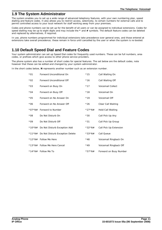## **1.9 The System Administrator**

The system enables you to set up a wide range of advanced telephony features, with your own numbering plan, speed dialling and feature codes. It also allows you to restrict access, selectively, to certain numbers for external calls and to permit controlled access to your local network for staff working away from your premises.

Codes and phone numbers can be set up for the benefit of all users or can be assigned to individual extensions. Codes for speed dialling may be up to eight digits and may include the **\*** and **#** symbols. The default feature codes can be deleted and replaced by alternatives, if required.

In use, phone numbers programmed for individual extensions take precedence over general ones, and those entered at extensions take overall precedence; these remain in force until cancelled by the user or when the system is re-booted.

## **1.10 Default Speed Dial and Feature Codes**

Your system administrator can set up Speed Dial codes for frequently used numbers. These can be full numbers, area codes, or prefixes which give access to other phone service providers.

The phone system also has a number of short codes for special features. The set below are the default codes, note however that these can be edited and changed by your system administrator.

In the short codes below, *N* represents another number such as an extension number.

| $*01$  | Forward Unconditional On               | $*15$     | Call Waiting On          |
|--------|----------------------------------------|-----------|--------------------------|
| $*02$  | Forward Unconditional Off              | $*16$     | Call Waiting Off         |
| $*03$  | Forward on Busy On                     | $*17$     | <b>Voicemail Collect</b> |
| $*04$  | Forward on Busy Off                    | $*18$     | Voicemail On             |
| $*05$  | Forward on No Answer On                | $*19$     | Voicemail Off            |
| $*06$  | Forward on No Answer Off               | $*26$     | Clear Call Waiting       |
| *07*N# | Forward to Number                      | $*27*N#$  | Hold Call Waiting        |
| $*08$  | Do Not Disturb On                      | $*30$     | Call Pick Up Any         |
| $*09$  | Do Not Disturb Off                     | $*31$     | Call Pick Up Group       |
|        | *10*N# Do Not Disturb Exception Add    | $*32*N#$  | Call Pick Up Extension   |
|        | *11*N# Do Not Disturb Exception Delete | $*33*$ N# | Call Queue               |
|        | *12*N# Follow Me Here                  | $*48$     | Voicemail Ringback On    |
|        | *13*N# Follow Me Here Cancel           | $*49$     | Voicemail Ringback Off   |
|        | *14*N# Follow Me To                    | *57 * N#  | Forward on Busy Number   |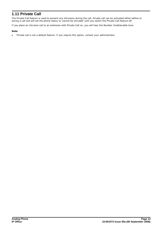## **1.11 Private Call**

The Private Call feature is used to prevent any intrusions during the call. Private call can be activated either before or during a call and will set the phone status to 'cannot be intruded' until you switch the Private Call feature off.

If you place an intrusive call to an extension with Private Call on, you will hear the Number Unobtainable tone.

**Note**

· Private call is not a default feature. If you require this option, contact your administrator.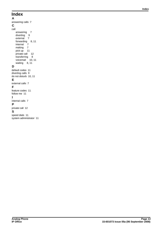## **Index**

**A** answering calls 7 **C** call answering 7 diverting 9 external 7 forwarding 8, 11 internal 7 making 7 pick up 11 private call 12 transferring 8 voicemail 10, 11 waiting 8, 11 **D** default codes 11 diverting calls 9 do not disturb 10, 11 **E** external calls 7 **F** feature codes 11 follow me 11 **I** internal calls 7 **P** private call 12 **S**

speed dials 11 system administrator 11